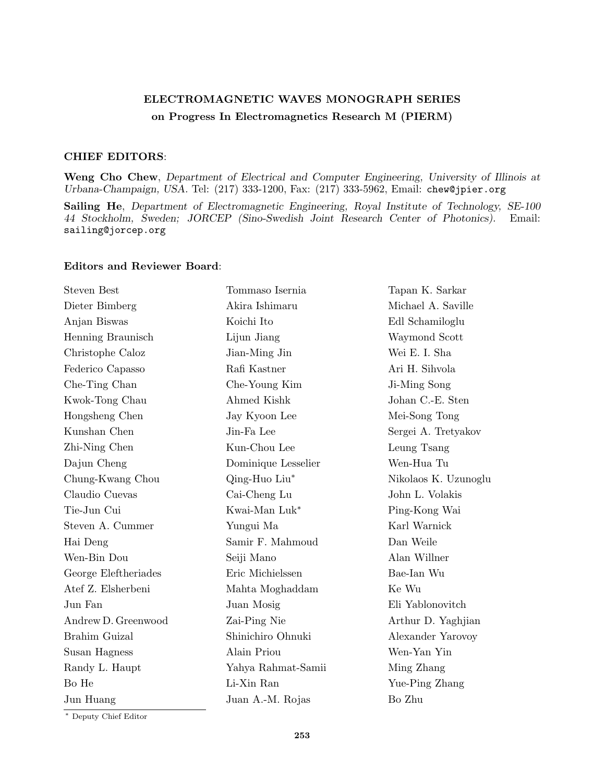## **ELECTROMAGNETIC WAVES MONOGRAPH SERIES on Progress In Electromagnetics Research M (PIERM)**

## **CHIEF EDITORS**:

**Weng Cho Chew**, *Department of Electrical and Computer Engineering, University of Illinois at Urbana-Champaign, USA.* Tel: (217) 333-1200, Fax: (217) 333-5962, Email: chew@jpier.org

**Sailing He**, *Department of Electromagnetic Engineering, Royal Institute of Technology, SE-100 44 Stockholm, Sweden; JORCEP (Sino-Swedish Joint Research Center of Photonics).* Email: sailing@jorcep.org

## **Editors and Reviewer Board**:

| <b>Steven Best</b>   | Tommaso Isernia     | Tapan K. Sarkar      |
|----------------------|---------------------|----------------------|
| Dieter Bimberg       | Akira Ishimaru      | Michael A. Saville   |
| Anjan Biswas         | Koichi Ito          | Edl Schamiloglu      |
| Henning Braunisch    | Lijun Jiang         | Waymond Scott        |
| Christophe Caloz     | Jian-Ming Jin       | Wei E. I. Sha        |
| Federico Capasso     | Rafi Kastner        | Ari H. Sihvola       |
| Che-Ting Chan        | Che-Young Kim       | Ji-Ming Song         |
| Kwok-Tong Chau       | Ahmed Kishk         | Johan C.-E. Sten     |
| Hongsheng Chen       | Jay Kyoon Lee       | Mei-Song Tong        |
| Kunshan Chen         | Jin-Fa Lee          | Sergei A. Tretyakov  |
| Zhi-Ning Chen        | Kun-Chou Lee        | Leung Tsang          |
| Dajun Cheng          | Dominique Lesselier | Wen-Hua Tu           |
| Chung-Kwang Chou     | Qing-Huo Liu*       | Nikolaos K. Uzunoglu |
| Claudio Cuevas       | Cai-Cheng Lu        | John L. Volakis      |
| Tie-Jun Cui          | Kwai-Man Luk*       | Ping-Kong Wai        |
| Steven A. Cummer     | Yungui Ma           | Karl Warnick         |
| Hai Deng             | Samir F. Mahmoud    | Dan Weile            |
| Wen-Bin Dou          | Seiji Mano          | Alan Willner         |
| George Eleftheriades | Eric Michielssen    | Bae-Ian Wu           |
| Atef Z. Elsherbeni   | Mahta Moghaddam     | Ke Wu                |
| Jun Fan              | Juan Mosig          | Eli Yablonovitch     |
| Andrew D. Greenwood  | Zai-Ping Nie        | Arthur D. Yaghjian   |
| Brahim Guizal        | Shinichiro Ohnuki   | Alexander Yarovoy    |
| Susan Hagness        | Alain Priou         | Wen-Yan Yin          |
| Randy L. Haupt       | Yahya Rahmat-Samii  | Ming Zhang           |
| Bo He                | Li-Xin Ran          | Yue-Ping Zhang       |
| Jun Huang            | Juan A.-M. Rojas    | Bo Zhu               |
|                      |                     |                      |

*∗* Deputy Chief Editor